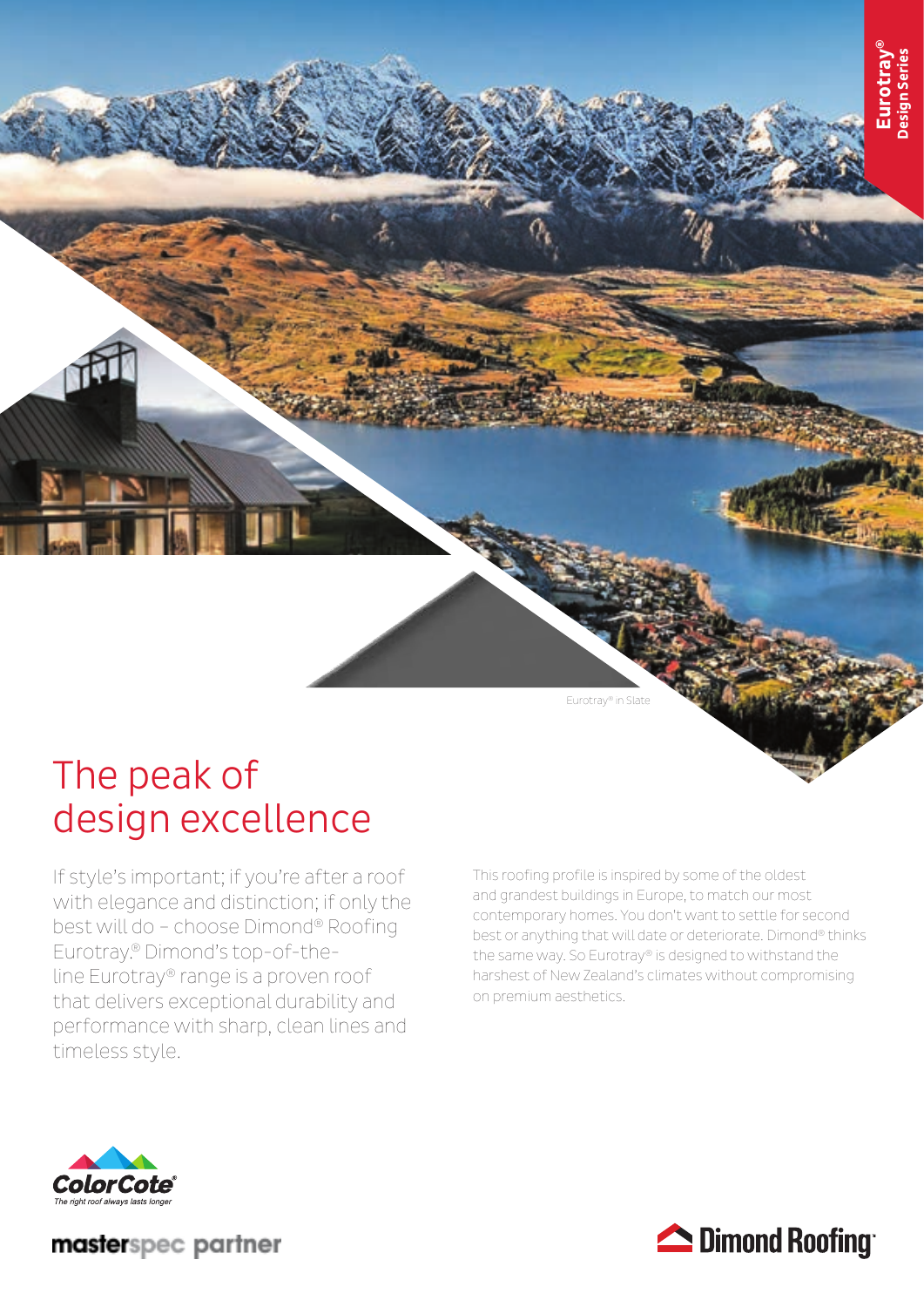

# The peak of design excellence

If style's important; if you're after a roof with elegance and distinction; if only the best will do – choose Dimond® Roofing Eurotray.® Dimond's top-of-theline Eurotray® range is a proven roof that delivers exceptional durability and performance with sharp, clean lines and timeless style.

This roofing profile is inspired by some of the oldest and grandest buildings in Europe, to match our most contemporary homes. You don't want to settle for second best or anything that will date or deteriorate. Dimond® thinks the same way. So Eurotray® is designed to withstand the harshest of New Zealand's climates without compromising on premium aesthetics.



masterspec partner

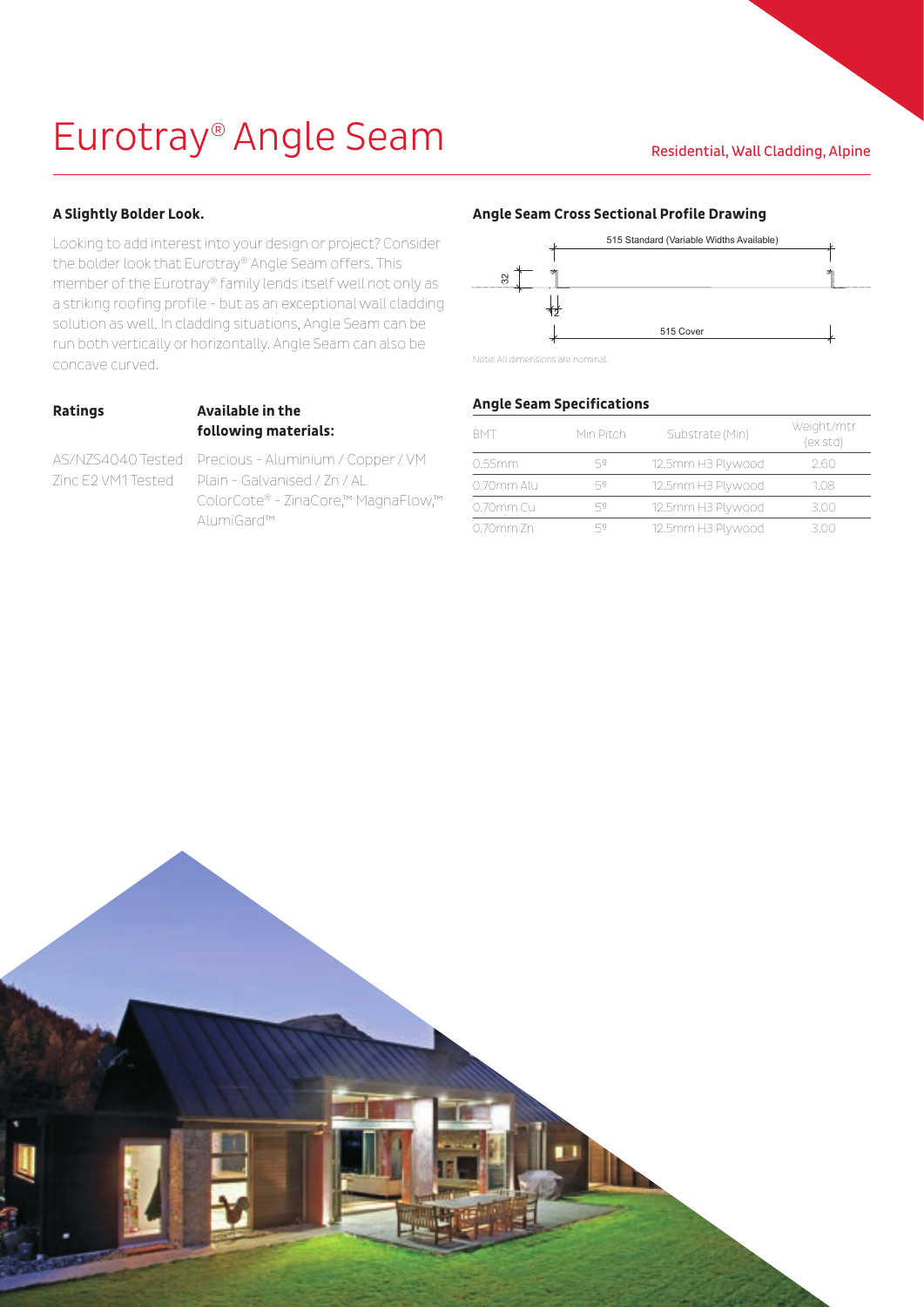# Eurotray<sup>®</sup> Angle Seam Residential, Wall Cladding, Alpine

## **A Slightly Bolder Look.**

Looking to add interest into your design or project? Consider the bolder look that Eurotray® Angle Seam offers. This member of the Eurotray® family lends itself well not only as a striking roofing profile - but as an exceptional wall cladding solution as well. In cladding situations, Angle Seam can be run both vertically or horizontally. Angle Seam can also be concave curved.

### **Ratings Available in the following materials:**

AS/NZS4040 Tested Precious - Aluminium / Copper / VM Zinc E2 VM1 Tested Plain - Galvanised / Zn / AL ColorCote® - ZinaCore,™ MagnaFlow,™ AlumiGard™

### **Angle Seam Cross Sectional Profile Drawing**



Note: All dimensions are nominal.

## **Angle Seam Specifications**

| <b>BMT</b>     | Min Pitch | Substrate (Min)   | Weight/mtr<br>(ex std) |
|----------------|-----------|-------------------|------------------------|
| 0.55mm         | 52        | 12.5mm H3 Plywood | 2.60                   |
| 0.70mm Alu     | 52        | 12.5mm H3 Plywood | 1.08                   |
| 0.70mm Cu      | 52        | 12.5mm H3 Plywood | 3.00                   |
| $0.70$ mm $Zn$ | 52        | 12.5mm H3 Plywood | 3.00                   |

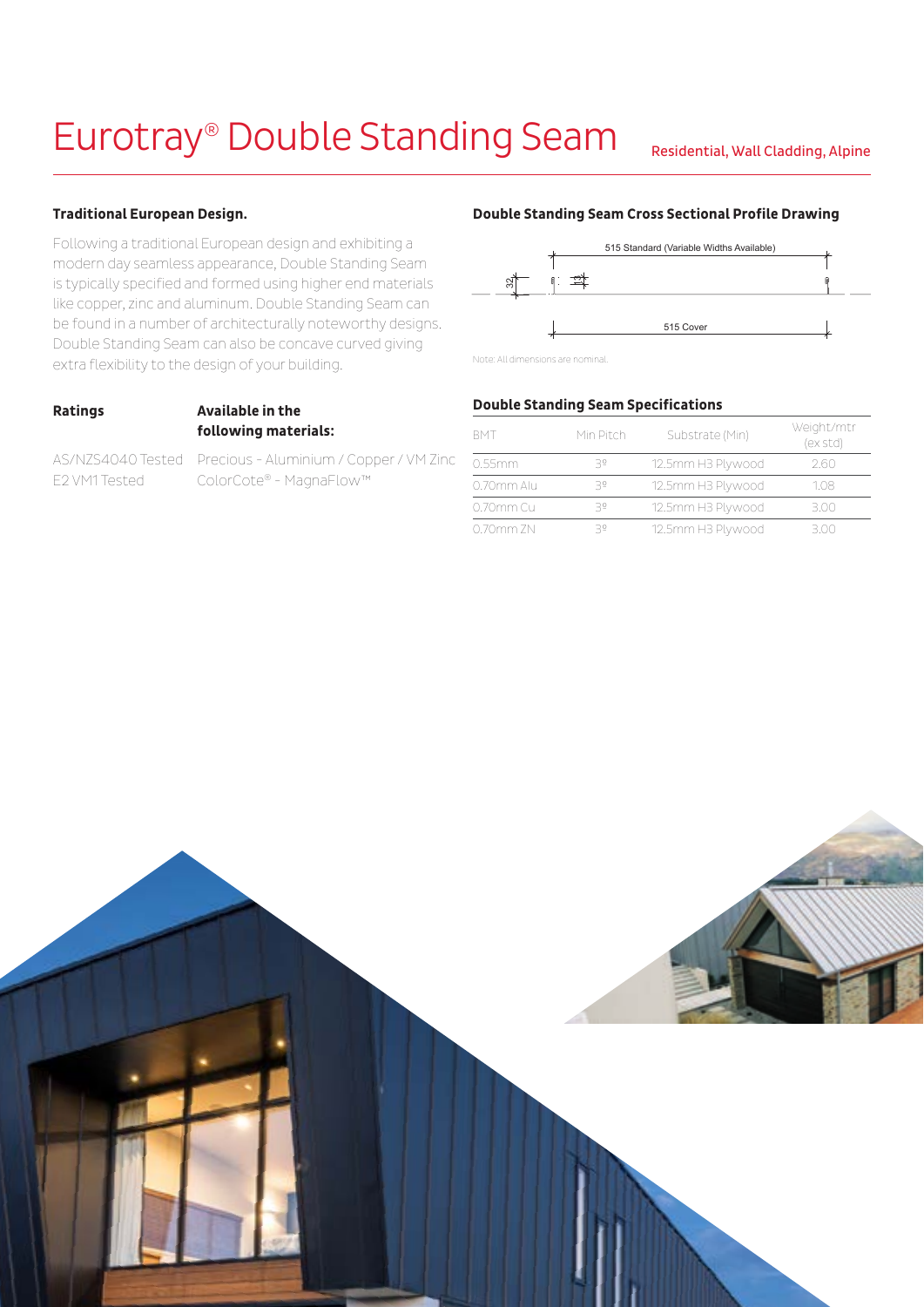# Eurotray® Double Standing Seam Residential, Wall Cladding, Alpine

## **Traditional European Design.**

Following a traditional European design and exhibiting a modern day seamless appearance, Double Standing Seam is typically specified and formed using higher end materials like copper, zinc and aluminum. Double Standing Seam can be found in a number of architecturally noteworthy designs. Double Standing Seam can also be concave curved giving extra flexibility to the design of your building.

### **Ratings Available in the following materials:**

AS/NZS4040 Tested Precious - Aluminium / Copper / VM Zinc E2 VM1 Tested ColorCote® - MagnaFlow™

### **Double Standing Seam Cross Sectional Profile Drawing**



Note: All dimensions are nominal.

## **Double Standing Seam Specifications**

| <b>RMT</b> | Min Pitch | Substrate (Min)   | Weight/mtr<br>(ex std) |
|------------|-----------|-------------------|------------------------|
| 0.55mm     | 30        | 12.5mm H3 Plywood | 2.60                   |
| 0.70mm Alu | 35        | 12.5mm H3 Plywood | 108                    |
| 0.70mm Cu  | 35        | 12.5mm H3 Plywood | 3.00                   |
| 0.70mm ZN  | 35        | 12.5mm H3 Plywood | 3 OO                   |

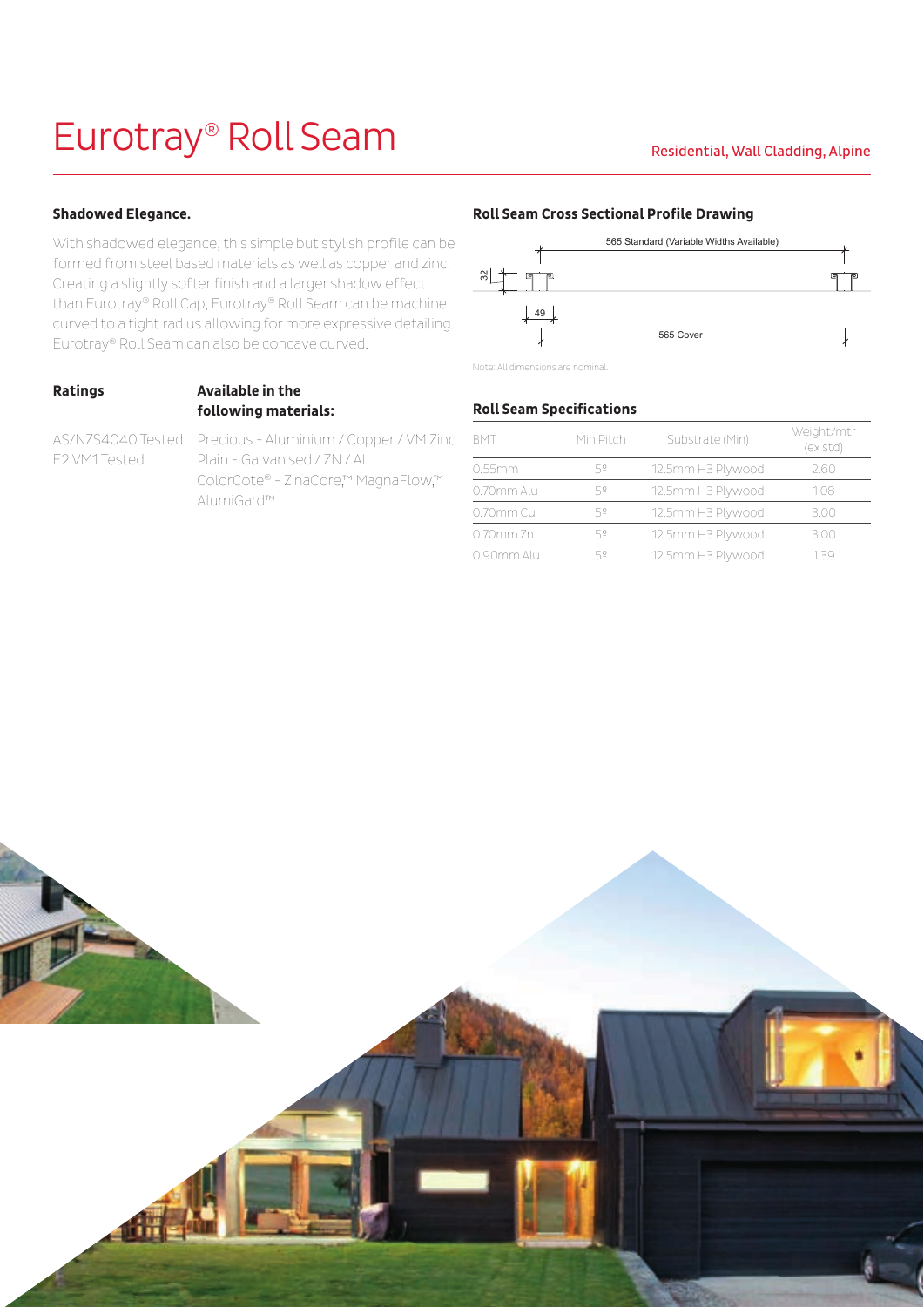# Eurotray<sup>®</sup> Roll Seam Residential, Wall Cladding, Alpine

## **Shadowed Elegance.**

With shadowed elegance, this simple but stylish profile can be formed from steel based materials as well as copper and zinc. Creating a slightly softer finish and a larger shadow effect than Eurotray® Roll Cap, Eurotray® Roll Seam can be machine curved to a tight radius allowing for more expressive detailing. Eurotray® Roll Seam can also be concave curved.

# **Ratings Available in the following materials:**

AS/NZS4040 Tested Precious - Aluminium / Copper / VM Zinc E2 VM1 Tested Plain - Galvanised / ZN / AL ColorCote® - ZinaCore,™ MagnaFlow,™ AlumiGard™

### **Roll Seam Cross Sectional Profile Drawing**



Note: All dimensions are nominal.

## **Roll Seam Specifications**

| <b>BMT</b> | Min Pitch | Substrate (Min)   | Weight/mtr<br>(ex std) |
|------------|-----------|-------------------|------------------------|
| 0.55mm     | 52        | 12.5mm H3 Plywood | 2.60                   |
| 0.70mm Alu | 52        | 12.5mm H3 Plywood | 1.08                   |
| 0.70mm Cu  | 52        | 12.5mm H3 Plywood | 3.00                   |
| 0.70mm Zn  | 52        | 12.5mm H3 Plywood | 3.00                   |
| 0.90mm Alu | 52        | 12.5mm H3 Plywood | 139                    |

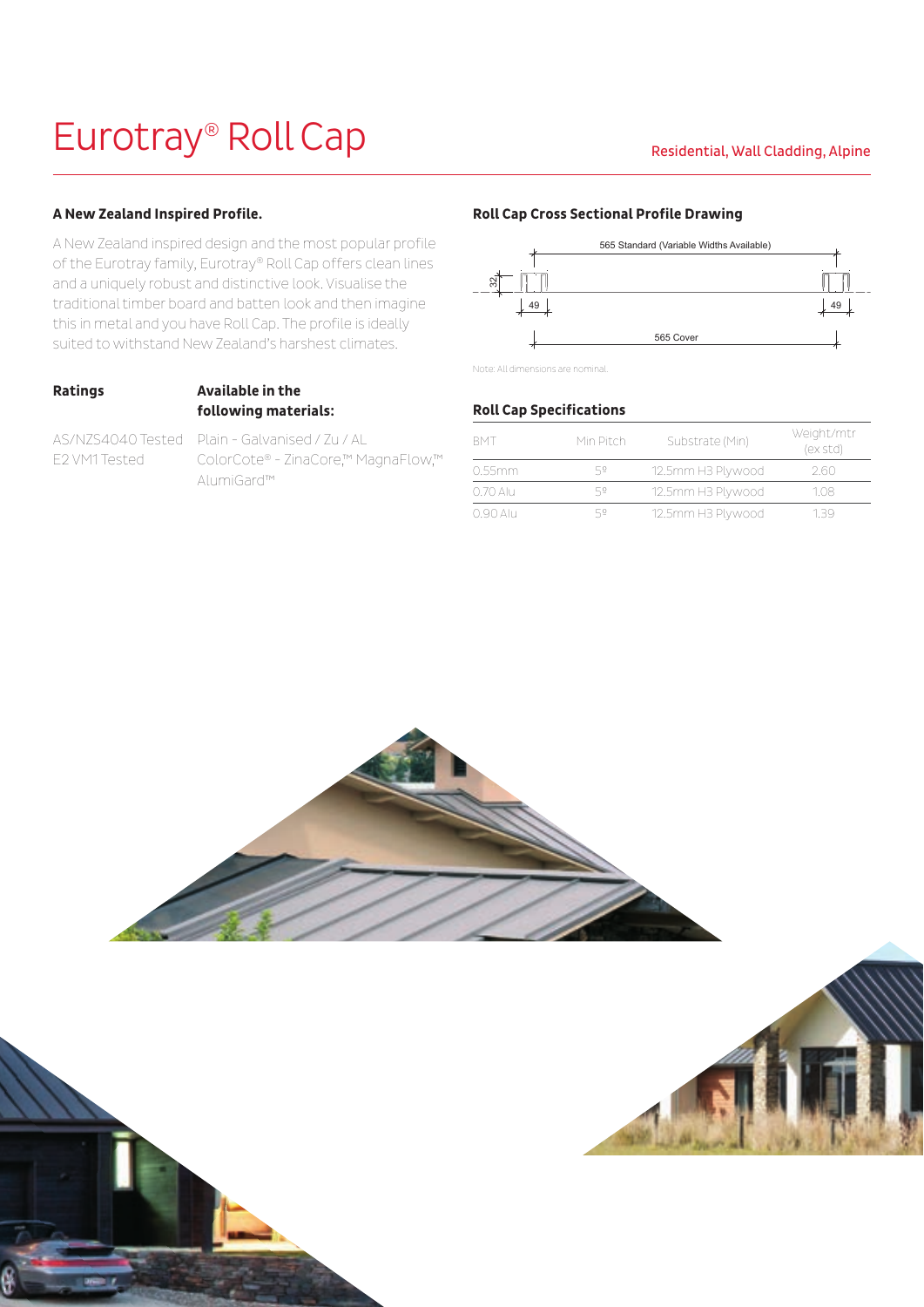# Eurotray® Roll Cap Residential, Wall Cladding, Alpine

### **A New Zealand Inspired Profile.**

A New Zealand inspired design and the most popular profile of the Eurotray family, Eurotray® Roll Cap offers clean lines and a uniquely robust and distinctive look. Visualise the traditional timber board and batten look and then imagine this in metal and you have Roll Cap. The profile is ideally suited to withstand New Zealand's harshest climates.

# **Ratings Available in the following materials:**

AS/NZS4040 Tested Plain - Galvanised / Zu / AL E2 VM1 Tested ColorCote® - ZinaCore,™ MagnaFlow,™ AlumiGard™

### **Roll Cap Cross Sectional Profile Drawing**



Note: All dimensions are nominal.

### **Roll Cap Specifications**

| <b>RMT</b> | Min Pitch | Substrate (Min)   | Weight/mtr<br>(ex std) |
|------------|-----------|-------------------|------------------------|
| 0.55mm     | 52        | 12.5mm H3 Plywood | 2.60                   |
| 0.70 Alu   | 52        | 12.5mm H3 Plywood | 1.08                   |
| 0.90 Alu   | 52        | 12.5mm H3 Plywood | 139                    |